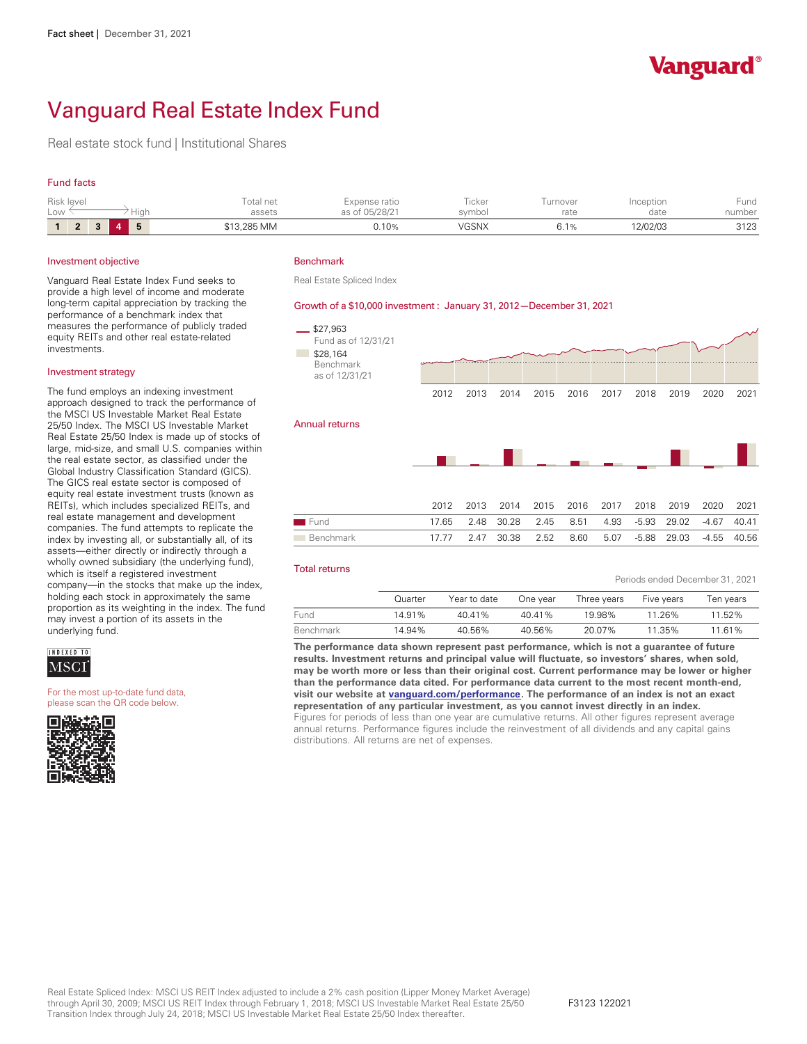

Periods ended December 31, 2021

# Vanguard Real Estate Index Fund

Real estate stock fund | Institutional Shares

#### Fund facts

| Risk level<br>Low<br>Hiah |                |           |  |   | Total net<br>assets | Expense ratio<br>as of 05/28/21 | --<br><b>ICKel</b><br>symbol | Turnover<br>rate | Inception<br>date | Fund<br>number |
|---------------------------|----------------|-----------|--|---|---------------------|---------------------------------|------------------------------|------------------|-------------------|----------------|
|                           | $\bullet$<br>∠ | $\bullet$ |  | Ð | \$13,285 MM         | 0.10%                           | VGSNX                        | 0. I %           | 12/02/03          | 3123           |

#### Investment objective

Vanguard Real Estate Index Fund seeks to provide a high level of income and moderate long-term capital appreciation by tracking the performance of a benchmark index that measures the performance of publicly traded equity REITs and other real estate-related investments.

#### Investment strategy

The fund employs an indexing investment approach designed to track the performance of the MSCI US Investable Market Real Estate 25/50 Index. The MSCI US Investable Market Real Estate 25/50 Index is made up of stocks of large, mid-size, and small U.S. companies within the real estate sector, as classified under the Global Industry Classification Standard (GICS). The GICS real estate sector is composed of<br>equity real estate investment trusts (known as REITs), which includes specialized REITs, and real estate management and development companies. The fund attempts to replicate the index by investing all, or substantially all, of its wholly owned subsidiary (the underlying fund), which is itself a registered investment company—in the stocks that make up the index, holding each stock in approximately the same proportion as its weighting in the index. The fund may invest a portion of its assets in the underlying fund.



For the most up-to-date fund data, please scan the QR code below.



#### Benchmark

Real Estate Spliced Index

#### Growth of a \$10,000 investment : January 31, 2012— December 31, 2021



#### Total returns

|           | Quarter | Year to date | One year | Three years | Five years | Ten years |
|-----------|---------|--------------|----------|-------------|------------|-----------|
| Fund      | 14.91%  | 40 41%       | 40.41%   | 19.98%      | 11.26%     | 11.52%    |
| Benchmark | 14.94%  | 40.56%       | 40.56%   | 20.07%      | 11.35%     | 11.61%    |

**The performance data shown represent past performance, which is not a guarantee of future results. Investment returns and principal value will fluctuate, so investors' shares, when sold, may be worth more or less than their original cost. Current performance may be lower or higher than the performance data cited. For performance data current to the most recent month-end, visit our website at [vanguard.com/performance .](http://www.vanguard.com/performance) The performance of an index is not an exact representation of any particular investment, as you cannot invest directly in an index.**  Figures for periods of less than one year are cumulative returns. All other figures represent average annual returns. Performance figures include the reinvestment of all dividends and any capital gains distributions. All returns are net of expenses.